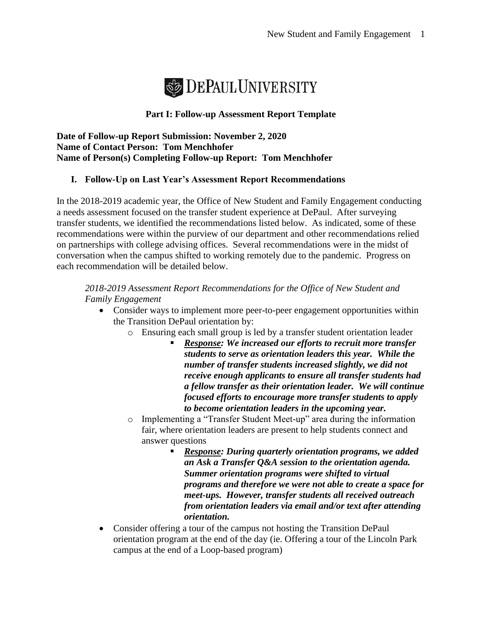

## **Part I: Follow-up Assessment Report Template**

**Date of Follow-up Report Submission: November 2, 2020 Name of Contact Person: Tom Menchhofer Name of Person(s) Completing Follow-up Report: Tom Menchhofer**

# **I. Follow-Up on Last Year's Assessment Report Recommendations**

In the 2018-2019 academic year, the Office of New Student and Family Engagement conducting a needs assessment focused on the transfer student experience at DePaul. After surveying transfer students, we identified the recommendations listed below. As indicated, some of these recommendations were within the purview of our department and other recommendations relied on partnerships with college advising offices. Several recommendations were in the midst of conversation when the campus shifted to working remotely due to the pandemic. Progress on each recommendation will be detailed below.

#### *2018-2019 Assessment Report Recommendations for the Office of New Student and Family Engagement*

- Consider ways to implement more peer-to-peer engagement opportunities within the Transition DePaul orientation by:
	- o Ensuring each small group is led by a transfer student orientation leader
		- *Response: We increased our efforts to recruit more transfer students to serve as orientation leaders this year. While the number of transfer students increased slightly, we did not receive enough applicants to ensure all transfer students had a fellow transfer as their orientation leader. We will continue focused efforts to encourage more transfer students to apply to become orientation leaders in the upcoming year.*
	- o Implementing a "Transfer Student Meet-up" area during the information fair, where orientation leaders are present to help students connect and answer questions
		- *Response: During quarterly orientation programs, we added an Ask a Transfer Q&A session to the orientation agenda. Summer orientation programs were shifted to virtual programs and therefore we were not able to create a space for meet-ups. However, transfer students all received outreach from orientation leaders via email and/or text after attending orientation.*
- Consider offering a tour of the campus not hosting the Transition DePaul orientation program at the end of the day (ie. Offering a tour of the Lincoln Park campus at the end of a Loop-based program)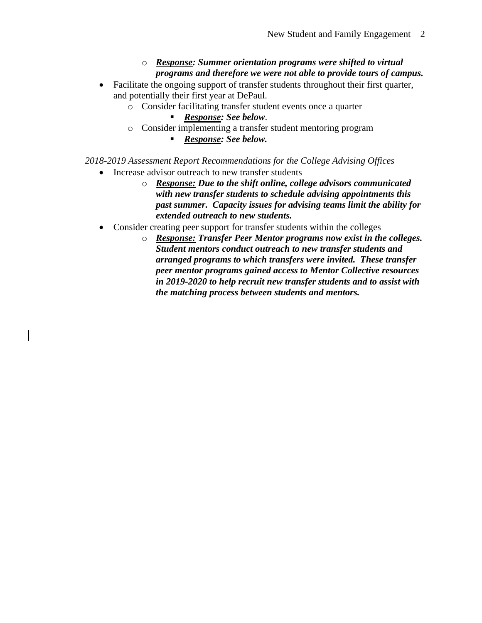## o *Response: Summer orientation programs were shifted to virtual programs and therefore we were not able to provide tours of campus.*

- Facilitate the ongoing support of transfer students throughout their first quarter, and potentially their first year at DePaul.
	- o Consider facilitating transfer student events once a quarter
		- *Response: See below*.
	- o Consider implementing a transfer student mentoring program
		- *Response: See below.*

*2018-2019 Assessment Report Recommendations for the College Advising Offices*

- Increase advisor outreach to new transfer students
	- o *Response: Due to the shift online, college advisors communicated with new transfer students to schedule advising appointments this past summer. Capacity issues for advising teams limit the ability for extended outreach to new students.*
- Consider creating peer support for transfer students within the colleges
	- o *Response: Transfer Peer Mentor programs now exist in the colleges. Student mentors conduct outreach to new transfer students and arranged programs to which transfers were invited. These transfer peer mentor programs gained access to Mentor Collective resources in 2019-2020 to help recruit new transfer students and to assist with the matching process between students and mentors.*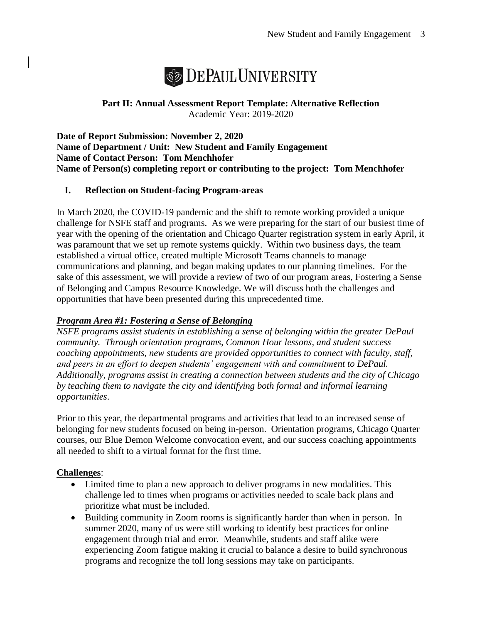

**Part II: Annual Assessment Report Template: Alternative Reflection** Academic Year: 2019-2020

**Date of Report Submission: November 2, 2020 Name of Department / Unit: New Student and Family Engagement Name of Contact Person: Tom Menchhofer Name of Person(s) completing report or contributing to the project: Tom Menchhofer**

## **I. Reflection on Student-facing Program-areas**

In March 2020, the COVID-19 pandemic and the shift to remote working provided a unique challenge for NSFE staff and programs. As we were preparing for the start of our busiest time of year with the opening of the orientation and Chicago Quarter registration system in early April, it was paramount that we set up remote systems quickly. Within two business days, the team established a virtual office, created multiple Microsoft Teams channels to manage communications and planning, and began making updates to our planning timelines. For the sake of this assessment, we will provide a review of two of our program areas, Fostering a Sense of Belonging and Campus Resource Knowledge. We will discuss both the challenges and opportunities that have been presented during this unprecedented time.

## *Program Area #1: Fostering a Sense of Belonging*

*NSFE programs assist students in establishing a sense of belonging within the greater DePaul community. Through orientation programs, Common Hour lessons, and student success coaching appointments, new students are provided opportunities to connect with faculty, staff, and peers in an effort to deepen students' engagement with and commitment to DePaul. Additionally, programs assist in creating a connection between students and the city of Chicago by teaching them to navigate the city and identifying both formal and informal learning opportunities*.

Prior to this year, the departmental programs and activities that lead to an increased sense of belonging for new students focused on being in-person. Orientation programs, Chicago Quarter courses, our Blue Demon Welcome convocation event, and our success coaching appointments all needed to shift to a virtual format for the first time.

## **Challenges**:

- Limited time to plan a new approach to deliver programs in new modalities. This challenge led to times when programs or activities needed to scale back plans and prioritize what must be included.
- Building community in Zoom rooms is significantly harder than when in person. In summer 2020, many of us were still working to identify best practices for online engagement through trial and error. Meanwhile, students and staff alike were experiencing Zoom fatigue making it crucial to balance a desire to build synchronous programs and recognize the toll long sessions may take on participants.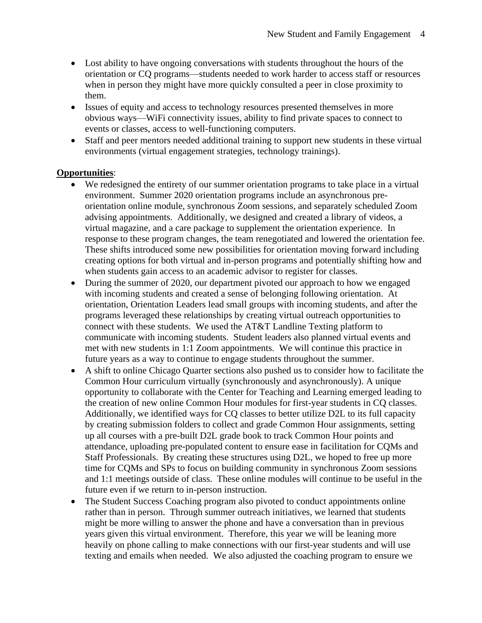- Lost ability to have ongoing conversations with students throughout the hours of the orientation or CQ programs—students needed to work harder to access staff or resources when in person they might have more quickly consulted a peer in close proximity to them.
- Issues of equity and access to technology resources presented themselves in more obvious ways—WiFi connectivity issues, ability to find private spaces to connect to events or classes, access to well-functioning computers.
- Staff and peer mentors needed additional training to support new students in these virtual environments (virtual engagement strategies, technology trainings).

#### **Opportunities**:

- We redesigned the entirety of our summer orientation programs to take place in a virtual environment. Summer 2020 orientation programs include an asynchronous preorientation online module, synchronous Zoom sessions, and separately scheduled Zoom advising appointments. Additionally, we designed and created a library of videos, a virtual magazine, and a care package to supplement the orientation experience. In response to these program changes, the team renegotiated and lowered the orientation fee. These shifts introduced some new possibilities for orientation moving forward including creating options for both virtual and in-person programs and potentially shifting how and when students gain access to an academic advisor to register for classes.
- During the summer of 2020, our department pivoted our approach to how we engaged with incoming students and created a sense of belonging following orientation. At orientation, Orientation Leaders lead small groups with incoming students, and after the programs leveraged these relationships by creating virtual outreach opportunities to connect with these students. We used the AT&T Landline Texting platform to communicate with incoming students. Student leaders also planned virtual events and met with new students in 1:1 Zoom appointments. We will continue this practice in future years as a way to continue to engage students throughout the summer.
- A shift to online Chicago Quarter sections also pushed us to consider how to facilitate the Common Hour curriculum virtually (synchronously and asynchronously). A unique opportunity to collaborate with the Center for Teaching and Learning emerged leading to the creation of new online Common Hour modules for first-year students in CQ classes. Additionally, we identified ways for CQ classes to better utilize D2L to its full capacity by creating submission folders to collect and grade Common Hour assignments, setting up all courses with a pre-built D2L grade book to track Common Hour points and attendance, uploading pre-populated content to ensure ease in facilitation for CQMs and Staff Professionals. By creating these structures using D2L, we hoped to free up more time for CQMs and SPs to focus on building community in synchronous Zoom sessions and 1:1 meetings outside of class. These online modules will continue to be useful in the future even if we return to in-person instruction.
- The Student Success Coaching program also pivoted to conduct appointments online rather than in person. Through summer outreach initiatives, we learned that students might be more willing to answer the phone and have a conversation than in previous years given this virtual environment. Therefore, this year we will be leaning more heavily on phone calling to make connections with our first-year students and will use texting and emails when needed. We also adjusted the coaching program to ensure we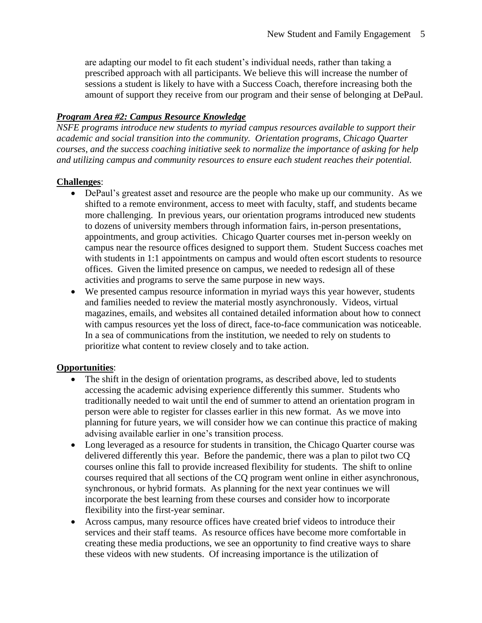are adapting our model to fit each student's individual needs, rather than taking a prescribed approach with all participants. We believe this will increase the number of sessions a student is likely to have with a Success Coach, therefore increasing both the amount of support they receive from our program and their sense of belonging at DePaul.

#### *Program Area #2: Campus Resource Knowledge*

*NSFE programs introduce new students to myriad campus resources available to support their academic and social transition into the community. Orientation programs, Chicago Quarter courses, and the success coaching initiative seek to normalize the importance of asking for help and utilizing campus and community resources to ensure each student reaches their potential.* 

#### **Challenges**:

- DePaul's greatest asset and resource are the people who make up our community. As we shifted to a remote environment, access to meet with faculty, staff, and students became more challenging. In previous years, our orientation programs introduced new students to dozens of university members through information fairs, in-person presentations, appointments, and group activities. Chicago Quarter courses met in-person weekly on campus near the resource offices designed to support them. Student Success coaches met with students in 1:1 appointments on campus and would often escort students to resource offices. Given the limited presence on campus, we needed to redesign all of these activities and programs to serve the same purpose in new ways.
- We presented campus resource information in myriad ways this year however, students and families needed to review the material mostly asynchronously. Videos, virtual magazines, emails, and websites all contained detailed information about how to connect with campus resources yet the loss of direct, face-to-face communication was noticeable. In a sea of communications from the institution, we needed to rely on students to prioritize what content to review closely and to take action.

## **Opportunities**:

- The shift in the design of orientation programs, as described above, led to students accessing the academic advising experience differently this summer. Students who traditionally needed to wait until the end of summer to attend an orientation program in person were able to register for classes earlier in this new format. As we move into planning for future years, we will consider how we can continue this practice of making advising available earlier in one's transition process.
- Long leveraged as a resource for students in transition, the Chicago Quarter course was delivered differently this year. Before the pandemic, there was a plan to pilot two CQ courses online this fall to provide increased flexibility for students. The shift to online courses required that all sections of the CQ program went online in either asynchronous, synchronous, or hybrid formats. As planning for the next year continues we will incorporate the best learning from these courses and consider how to incorporate flexibility into the first-year seminar.
- Across campus, many resource offices have created brief videos to introduce their services and their staff teams. As resource offices have become more comfortable in creating these media productions, we see an opportunity to find creative ways to share these videos with new students. Of increasing importance is the utilization of